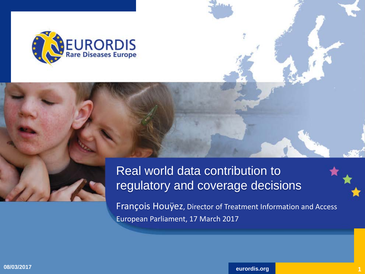

#### Real world data contribution to regulatory and coverage decisions

François Houÿez, Director of Treatment Information and Access European Parliament, 17 March 2017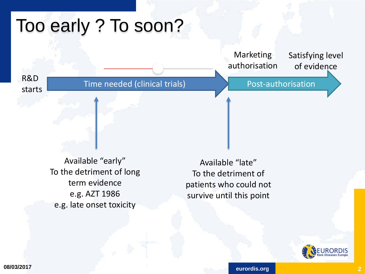## Too early ? To soon?

Satisfying level of evidence Marketing authorisation

R&D starts

Time needed (clinical trials)

Post-authorisation

Available "early" To the detriment of long term evidence e.g. AZT 1986 e.g. late onset toxicity

Available "late" To the detriment of patients who could not survive until this point

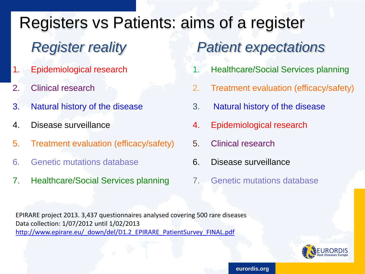Registers vs Patients: aims of a register *Register reality Patient expectations*

- 1. Epidemiological research
- 2. Clinical research
- 3. Natural history of the disease
- 4. Disease surveillance
- 5. Treatment evaluation (efficacy/safety)
- 6. Genetic mutations database
- 7. Healthcare/Social Services planning
- 
- 1. Healthcare/Social Services planning
- 2. Treatment evaluation (efficacy/safety)
- 3. Natural history of the disease
- 4. Epidemiological research
- 5. Clinical research
- 6. Disease surveillance
- 7. Genetic mutations database

EPIRARE project 2013. 3,437 questionnaires analysed covering 500 rare diseases Data collection: 1/07/2012 until 1/02/2013 [http://www.epirare.eu/\\_down/del/D1.2\\_EPIRARE\\_PatientSurvey\\_FINAL.pdf](http://www.epirare.eu/_down/del/D1.2_EPIRARE_PatientSurvey_FINAL.pdf)

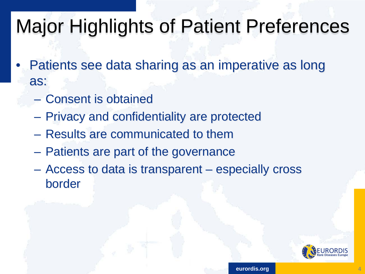# Major Highlights of Patient Preferences

- Patients see data sharing as an imperative as long as:
	- Consent is obtained
	- Privacy and confidentiality are protected
	- Results are communicated to them
	- Patients are part of the governance
	- Access to data is transparent especially cross border

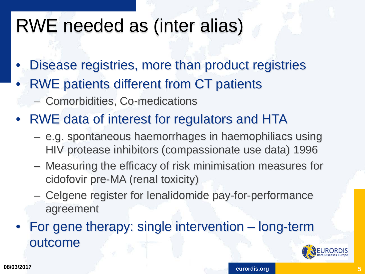### RWE needed as (inter alias)

- Disease registries, more than product registries
- RWE patients different from CT patients
	- Comorbidities, Co-medications
- RWE data of interest for regulators and HTA
	- e.g. spontaneous haemorrhages in haemophiliacs using HIV protease inhibitors (compassionate use data) 1996
	- Measuring the efficacy of risk minimisation measures for cidofovir pre-MA (renal toxicity)
	- Celgene register for lenalidomide pay-for-performance agreement
- For gene therapy: single intervention long-term outcome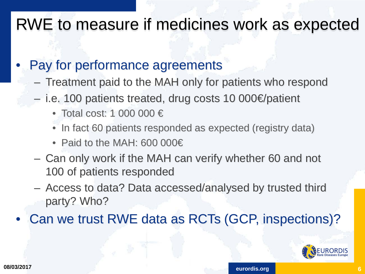#### RWE to measure if medicines work as expected

#### Pay for performance agreements

- Treatment paid to the MAH only for patients who respond
- i.e. 100 patients treated, drug costs 10 000€/patient
	- Total cost: 1 000 000 €
	- In fact 60 patients responded as expected (registry data)
	- Paid to the MAH: 600 000€
- Can only work if the MAH can verify whether 60 and not 100 of patients responded
- Access to data? Data accessed/analysed by trusted third party? Who?
- Can we trust RWE data as RCTs (GCP, inspections)?